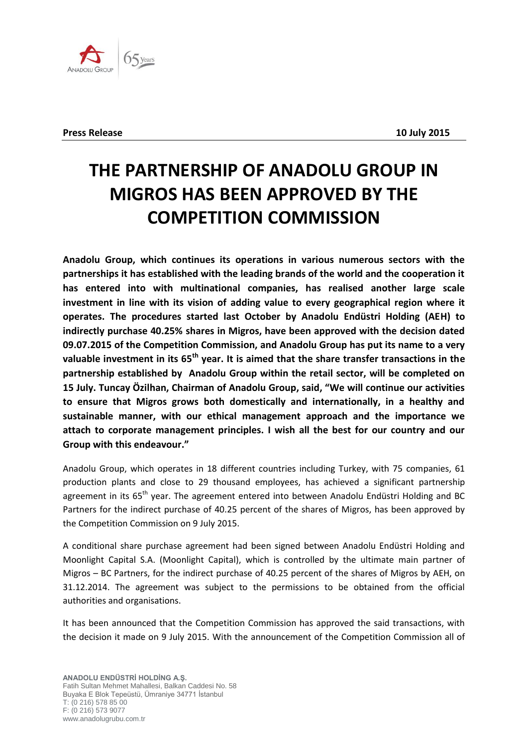

## **THE PARTNERSHIP OF ANADOLU GROUP IN MIGROS HAS BEEN APPROVED BY THE COMPETITION COMMISSION**

**Anadolu Group, which continues its operations in various numerous sectors with the partnerships it has established with the leading brands of the world and the cooperation it has entered into with multinational companies, has realised another large scale investment in line with its vision of adding value to every geographical region where it operates. The procedures started last October by Anadolu Endüstri Holding (AEH) to indirectly purchase 40.25% shares in Migros, have been approved with the decision dated 09.07.2015 of the Competition Commission, and Anadolu Group has put its name to a very valuable investment in its 65th year. It is aimed that the share transfer transactions in the partnership established by Anadolu Group within the retail sector, will be completed on 15 July. Tuncay Özilhan, Chairman of Anadolu Group, said, "We will continue our activities to ensure that Migros grows both domestically and internationally, in a healthy and sustainable manner, with our ethical management approach and the importance we attach to corporate management principles. I wish all the best for our country and our Group with this endeavour."**

Anadolu Group, which operates in 18 different countries including Turkey, with 75 companies, 61 production plants and close to 29 thousand employees, has achieved a significant partnership agreement in its 65<sup>th</sup> year. The agreement entered into between Anadolu Endüstri Holding and BC Partners for the indirect purchase of 40.25 percent of the shares of Migros, has been approved by the Competition Commission on 9 July 2015.

A conditional share purchase agreement had been signed between Anadolu Endüstri Holding and Moonlight Capital S.A. (Moonlight Capital), which is controlled by the ultimate main partner of Migros – BC Partners, for the indirect purchase of 40.25 percent of the shares of Migros by AEH, on 31.12.2014. The agreement was subject to the permissions to be obtained from the official authorities and organisations.

It has been announced that the Competition Commission has approved the said transactions, with the decision it made on 9 July 2015. With the announcement of the Competition Commission all of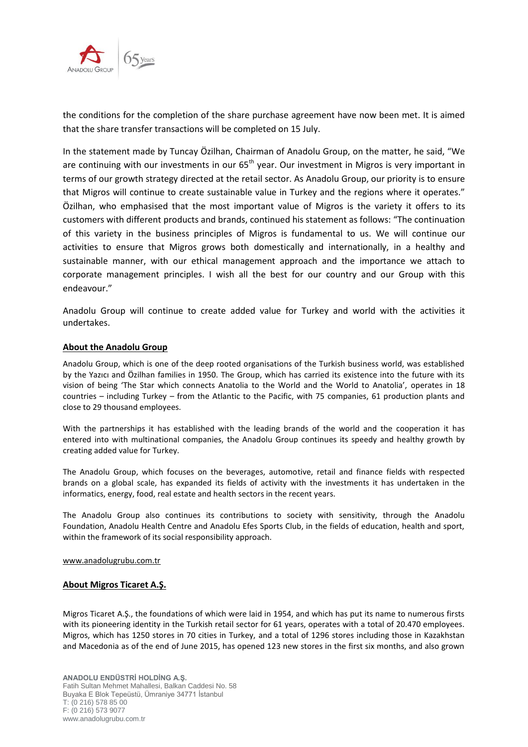

the conditions for the completion of the share purchase agreement have now been met. It is aimed that the share transfer transactions will be completed on 15 July.

In the statement made by Tuncay Özilhan, Chairman of Anadolu Group, on the matter, he said, "We are continuing with our investments in our  $65<sup>th</sup>$  year. Our investment in Migros is very important in terms of our growth strategy directed at the retail sector. As Anadolu Group, our priority is to ensure that Migros will continue to create sustainable value in Turkey and the regions where it operates." Özilhan, who emphasised that the most important value of Migros is the variety it offers to its customers with different products and brands, continued his statement as follows: "The continuation of this variety in the business principles of Migros is fundamental to us. We will continue our activities to ensure that Migros grows both domestically and internationally, in a healthy and sustainable manner, with our ethical management approach and the importance we attach to corporate management principles. I wish all the best for our country and our Group with this endeavour."

Anadolu Group will continue to create added value for Turkey and world with the activities it undertakes.

## **About the Anadolu Group**

Anadolu Group, which is one of the deep rooted organisations of the Turkish business world, was established by the Yazıcı and Özilhan families in 1950. The Group, which has carried its existence into the future with its vision of being 'The Star which connects Anatolia to the World and the World to Anatolia', operates in 18 countries – including Turkey – from the Atlantic to the Pacific, with 75 companies, 61 production plants and close to 29 thousand employees.

With the partnerships it has established with the leading brands of the world and the cooperation it has entered into with multinational companies, the Anadolu Group continues its speedy and healthy growth by creating added value for Turkey.

The Anadolu Group, which focuses on the beverages, automotive, retail and finance fields with respected brands on a global scale, has expanded its fields of activity with the investments it has undertaken in the informatics, energy, food, real estate and health sectors in the recent years.

The Anadolu Group also continues its contributions to society with sensitivity, through the Anadolu Foundation, Anadolu Health Centre and Anadolu Efes Sports Club, in the fields of education, health and sport, within the framework of its social responsibility approach.

## [www.anadolugrubu.com.tr](http://www.anadolugrubu.com.tr/)

## **About Migros Ticaret A.Ş.**

Migros Ticaret A.Ş., the foundations of which were laid in 1954, and which has put its name to numerous firsts with its pioneering identity in the Turkish retail sector for 61 years, operates with a total of 20.470 employees. Migros, which has 1250 stores in 70 cities in Turkey, and a total of 1296 stores including those in Kazakhstan and Macedonia as of the end of June 2015, has opened 123 new stores in the first six months, and also grown